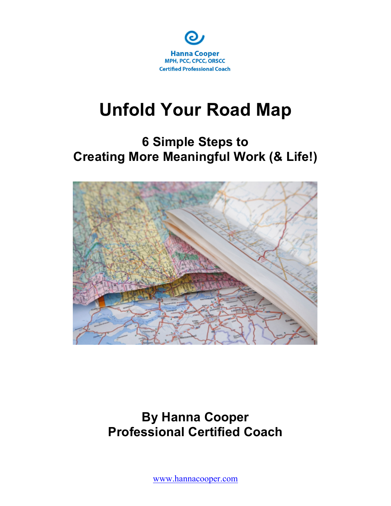

# **6 Simple Steps to Creating More Meaningful Work (& Life!)**



### **By Hanna Cooper Professional Certified Coach**

www.hannacooper.com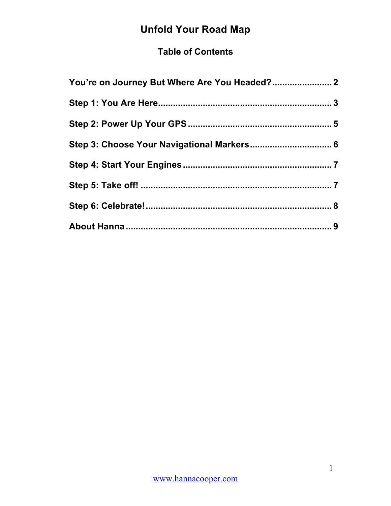#### **Table of Contents**

| You're on Journey But Where Are You Headed? 2 |  |
|-----------------------------------------------|--|
|                                               |  |
|                                               |  |
|                                               |  |
|                                               |  |
|                                               |  |
|                                               |  |
|                                               |  |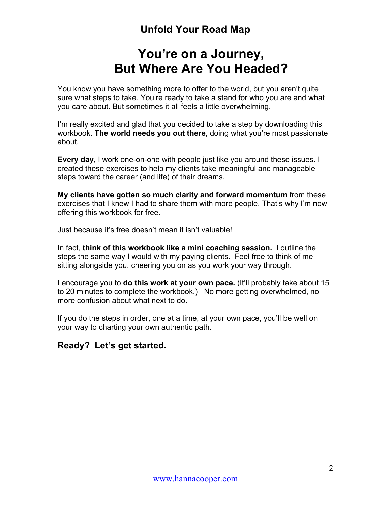### **You're on a Journey, But Where Are You Headed?**

You know you have something more to offer to the world, but you aren't quite sure what steps to take. You're ready to take a stand for who you are and what you care about. But sometimes it all feels a little overwhelming.

I'm really excited and glad that you decided to take a step by downloading this workbook. **The world needs you out there**, doing what you're most passionate about.

**Every day,** I work one-on-one with people just like you around these issues. I created these exercises to help my clients take meaningful and manageable steps toward the career (and life) of their dreams.

**My clients have gotten so much clarity and forward momentum** from these exercises that I knew I had to share them with more people. That's why I'm now offering this workbook for free.

Just because it's free doesn't mean it isn't valuable!

In fact, **think of this workbook like a mini coaching session.** I outline the steps the same way I would with my paying clients. Feel free to think of me sitting alongside you, cheering you on as you work your way through.

I encourage you to **do this work at your own pace.** (It'll probably take about 15 to 20 minutes to complete the workbook.) No more getting overwhelmed, no more confusion about what next to do.

If you do the steps in order, one at a time, at your own pace, you'll be well on your way to charting your own authentic path.

#### **Ready? Let's get started.**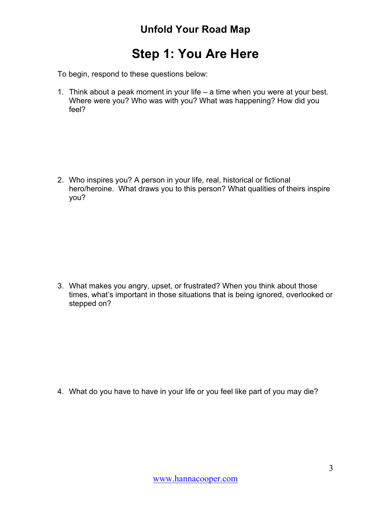### **Step 1: You Are Here**

To begin, respond to these questions below:

1. Think about a peak moment in your life – a time when you were at your best. Where were you? Who was with you? What was happening? How did you feel?

2. Who inspires you? A person in your life, real, historical or fictional hero/heroine. What draws you to this person? What qualities of theirs inspire you?

3. What makes you angry, upset, or frustrated? When you think about those times, what's important in those situations that is being ignored, overlooked or stepped on?

4. What do you have to have in your life or you feel like part of you may die?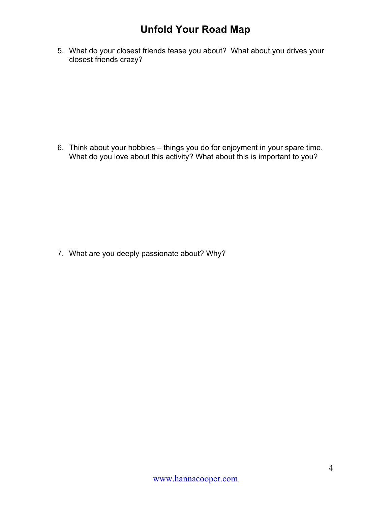5. What do your closest friends tease you about? What about you drives your closest friends crazy?

6. Think about your hobbies – things you do for enjoyment in your spare time. What do you love about this activity? What about this is important to you?

7. What are you deeply passionate about? Why?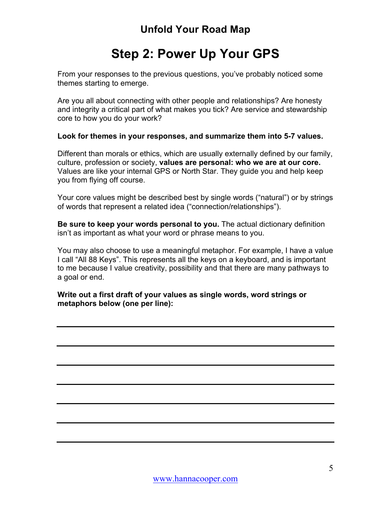# **Step 2: Power Up Your GPS**

From your responses to the previous questions, you've probably noticed some themes starting to emerge.

Are you all about connecting with other people and relationships? Are honesty and integrity a critical part of what makes you tick? Are service and stewardship core to how you do your work?

#### **Look for themes in your responses, and summarize them into 5-7 values.**

Different than morals or ethics, which are usually externally defined by our family, culture, profession or society, **values are personal: who we are at our core.** Values are like your internal GPS or North Star. They guide you and help keep you from flying off course.

Your core values might be described best by single words ("natural") or by strings of words that represent a related idea ("connection/relationships").

**Be sure to keep your words personal to you.** The actual dictionary definition isn't as important as what your word or phrase means to you.

You may also choose to use a meaningful metaphor. For example, I have a value I call "All 88 Keys". This represents all the keys on a keyboard, and is important to me because I value creativity, possibility and that there are many pathways to a goal or end.

**Write out a first draft of your values as single words, word strings or metaphors below (one per line):**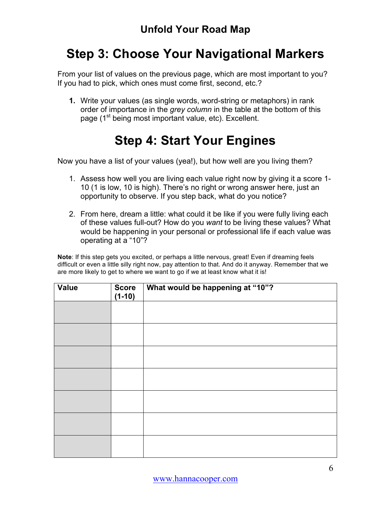### **Step 3: Choose Your Navigational Markers**

From your list of values on the previous page, which are most important to you? If you had to pick, which ones must come first, second, etc.?

**1.** Write your values (as single words, word-string or metaphors) in rank order of importance in the *grey column* in the table at the bottom of this page (1<sup>st</sup> being most important value, etc). Excellent.

# **Step 4: Start Your Engines**

Now you have a list of your values (yea!), but how well are you living them?

- 1. Assess how well you are living each value right now by giving it a score 1- 10 (1 is low, 10 is high). There's no right or wrong answer here, just an opportunity to observe. If you step back, what do you notice?
- 2. From here, dream a little: what could it be like if you were fully living each of these values full-out? How do you *want* to be living these values? What would be happening in your personal or professional life if each value was operating at a "10"?

**Note**: If this step gets you excited, or perhaps a little nervous, great! Even if dreaming feels difficult or even a little silly right now, pay attention to that. And do it anyway. Remember that we are more likely to get to where we want to go if we at least know what it is!

| Value | <b>Score</b><br>$(1-10)$ | What would be happening at "10"? |
|-------|--------------------------|----------------------------------|
|       |                          |                                  |
|       |                          |                                  |
|       |                          |                                  |
|       |                          |                                  |
|       |                          |                                  |
|       |                          |                                  |
|       |                          |                                  |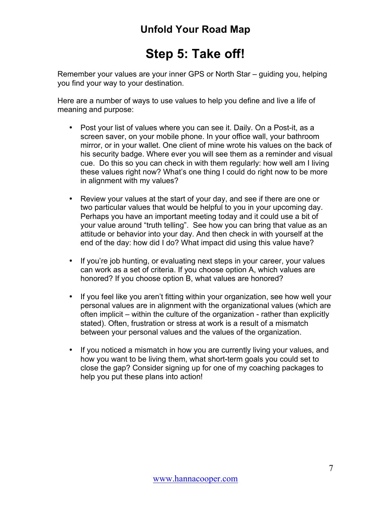# **Step 5: Take off!**

Remember your values are your inner GPS or North Star – guiding you, helping you find your way to your destination.

Here are a number of ways to use values to help you define and live a life of meaning and purpose:

- Post your list of values where you can see it. Daily. On a Post-it, as a screen saver, on your mobile phone. In your office wall, your bathroom mirror, or in your wallet. One client of mine wrote his values on the back of his security badge. Where ever you will see them as a reminder and visual cue. Do this so you can check in with them regularly: how well am I living these values right now? What's one thing I could do right now to be more in alignment with my values?
- Review your values at the start of your day, and see if there are one or two particular values that would be helpful to you in your upcoming day. Perhaps you have an important meeting today and it could use a bit of your value around "truth telling". See how you can bring that value as an attitude or behavior into your day. And then check in with yourself at the end of the day: how did I do? What impact did using this value have?
- If you're job hunting, or evaluating next steps in your career, your values can work as a set of criteria. If you choose option A, which values are honored? If you choose option B, what values are honored?
- If you feel like you aren't fitting within your organization, see how well your personal values are in alignment with the organizational values (which are often implicit – within the culture of the organization - rather than explicitly stated). Often, frustration or stress at work is a result of a mismatch between your personal values and the values of the organization.
- If you noticed a mismatch in how you are currently living your values, and how you want to be living them, what short-term goals you could set to close the gap? Consider signing up for one of my coaching packages to help you put these plans into action!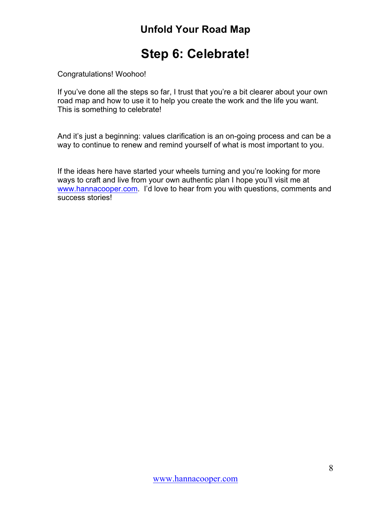### **Step 6: Celebrate!**

Congratulations! Woohoo!

If you've done all the steps so far, I trust that you're a bit clearer about your own road map and how to use it to help you create the work and the life you want. This is something to celebrate!

And it's just a beginning: values clarification is an on-going process and can be a way to continue to renew and remind yourself of what is most important to you.

If the ideas here have started your wheels turning and you're looking for more ways to craft and live from your own authentic plan I hope you'll visit me at www.hannacooper.com. I'd love to hear from you with questions, comments and success stories!